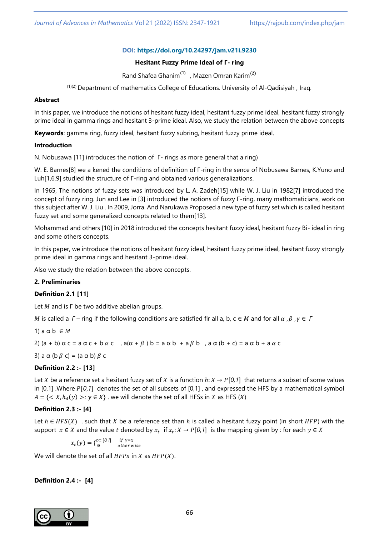# **DOI: <https://doi.org/10.24297/jam.v21i.9230>**

### **Hesitant Fuzzy Prime Ideal of Γ- ring**

Rand Shafea Ghanim<sup>(1)</sup>, Mazen Omran Karim<sup>(2)</sup>

(1)(2) Department of mathematics College of Educations. University of Al-Qadisiyah , Iraq*.*

#### **Abstract**

In this paper, we introduce the notions of hesitant fuzzy ideal, hesitant fuzzy prime ideal, hesitant fuzzy strongly prime ideal in gamma rings and hesitant 3-prime ideal. Also, we study the relation between the above concepts

**Keywords**: gamma ring, fuzzy ideal, hesitant fuzzy subring, hesitant fuzzy prime ideal.

#### **Introduction**

N. Nobusawa [11] introduces the notion of Γ- rings as more general that a ring)

W. E. Barnes[8] we a kened the conditions of definition of Γ-ring in the sence of Nobusawa Barnes, K.Yuno and Luh[1,6,9] studied the structure of Γ-ring and obtained various generalizations.

In 1965, The notions of fuzzy sets was introduced by L. A. Zadeh[15] while W. J. Liu in 1982[7] introduced the concept of fuzzy ring. Jun and Lee in [3] introduced the notions of fuzzy Γ-ring, many mathomaticians, work on this subject after W. J. Liu . In 2009, Jorra. And Narukawa Proposed a new type of fuzzy set which is called hesitant fuzzy set and some generalized concepts related to them[13].

Mohammad and others [10] in 2018 introduced the concepts hesitant fuzzy ideal, hesitant fuzzy Bi- ideal in ring and some others concepts.

In this paper, we introduce the notions of hesitant fuzzy ideal, hesitant fuzzy prime ideal, hesitant fuzzy strongly prime ideal in gamma rings and hesitant 3-prime ideal.

Also we study the relation between the above concepts.

### **2. Preliminaries**

### **Definition 2.1 [11]**

Let  $M$  and is  $\Gamma$  be two additive abelian groups.

M is called a  $\Gamma$  – ring if the following conditions are satisfied fir all a, b,  $c \in M$  and for all  $\alpha$ ,  $\beta$ ,  $\gamma \in \Gamma$ 

1)  $a \alpha b \in M$ 

2)  $(a + b) \alpha c = a \alpha c + b \alpha c$ ,  $a(\alpha + \beta) b = a \alpha b + a \beta b$ ,  $a \alpha (b + c) = a \alpha b + a \alpha c$ 

3) a  $\alpha$  (b  $\beta$  c) = (a  $\alpha$  b)  $\beta$  c

### **Definition 2.2 :- [13]**

Let X be a reference set a hesitant fuzzy set of X is a function  $h: X \to P[0,1]$  that returns a subset of some values in [0,1] .Where [*0*,*1*] denotes the set of all subsets of [0,1] , and expressed the HFS by a mathematical symbol  $A = \{ \langle X, h_A(y) \rangle : y \in X \}$  we will denote the set of all HFSs in X as HFS (X)

### **Definition 2.3 :- [4]**

Let  $h \in HFS(X)$  . such that X be a reference set than h is called a hesitant fuzzy point (in short HFP) with the support  $x \in X$  and the value t denoted by  $x_t$  if  $x_t: X \to P[0,1]$  is the mapping given by : for each  $y \in X$ 

 $x_t(y) = \begin{cases} t^c [0,1] & \text{if } y = x \\ \emptyset & \text{other wise} \end{cases}$ 

We will denote the set of all  $HFPs$  in  $X$  as  $HFP(X)$ .

**Definition 2.4 :- [4]**

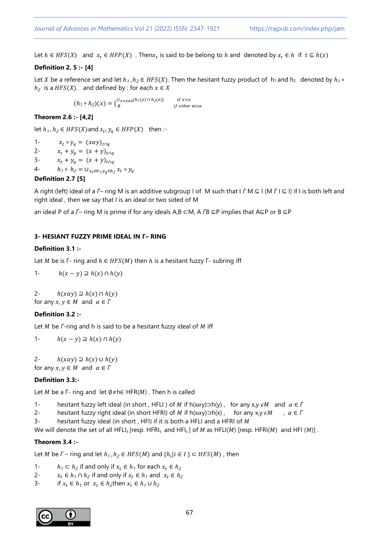Let  $h \in HFS(X)$  and  $x_t \in HFP(X)$ . Then $x_t$  is said to be belong to h and denoted by  $x_t \in h$  if  $t \subseteq h(x)$ 

# **Definition 2. 5 :- [4]**

Let *X* be a reference set and let  $h_1$ ,  $h_2 \in HFS(X)$ . Then the hesitant fuzzy product of  $h_1$  and  $h_2$  denoted by  $h_1 \circ$  $h_2$  is a  $HFS(X)$ . and defined by : for each  $x \in X$ 

> $(h_1 \circ h_2)(x) = \begin{cases} \int_0^{\infty} x = y \alpha z \ln(y) \ln(z \ln(y)) & \text{if } \alpha = y \\ y & \text{if } \alpha \ln(y) \end{cases}$  $\bigcup_{x=y\alpha z} [h_1(y) \cap h_2]$  $if x=y$

# **Theorem 2.6 :- [4,2]**

let  $h_1$ ,  $h_2 \in HFS(X)$  and  $x_t$ ,  $y_q \in HFP(X)$  then :-

1-  $x_t \circ y_q = (x \alpha y)_{t \cap q}$ 2-  $x_t + y_a = (x + y)_{t \cap a}$ 3-  $x_t + y_q = (x + y)_{t \cap q}$ 4-  $h_1 \circ h_2 = \bigcup_{x_t \in h_1, y_q \in h_2} x_t \circ y_q$ **Definition 2.7 [5]**

A right (left) ideal of a *Г*– ring M is an additive subgroup I of M such that I *Г* M ⊆ I (M *Г* I ⊆ I) if I is both left and right ideal , then we say that I is an ideal or two sided of M

an ideal P of a *Γ*– ring M is prime if for any ideals A,B ⊂M, A *Γ*B ⊆P implies that A⊆P or B ⊆P

# **3- HESIANT FUZZY PRIME IDEAL IN Г– RING**

### **Definition 3.1 :-**

Let *M* be is  $\Gamma$ - ring and  $h \in HFS(M)$  then *h* is a hesitant fuzzy  $\Gamma$ - subring iff

1-  $h(x - y) \supseteq h(x) \cap h(y)$ 

2-  $h(xay) \supseteq h(x) \cap h(y)$ for any  $x, y \in M$  and  $\alpha \in \Gamma$ 

### **Definition 3.2 :-**

Let *M* be *Γ*-ring and h is said to be a hesitant fuzzy ideal of *M* iff

1-  $h(x - y) \supseteq h(x) \cap h(y)$ 

2-  $h(xay) \supseteq h(x) \cup h(y)$ for any  $x, y \in M$  and  $\alpha \in \Gamma$ 

### **Definition 3.3:-**

Let *M* be a  $\Gamma$ - ring and let Ø≠h∈ HFR(*M*). Then h is called

- 1- hesitant fuzzy left ideal (in short , HFLI ) of M if h(xay)⊃h(y), for any x,y  $\epsilon M$  and  $\alpha \in \Gamma$
- 2- hesitant fuzzy right ideal (in short HFRI) of *M* if h(xay)⊃h(x), for any x,y  $\epsilon M$ ,  $\alpha \in \Gamma$
- 3- hesitant fuzzy ideal (in short, HFI) if it is both a HFLI and a HFRI of  $M$

We will denote the set of all HFLI<sub>s</sub> [resp. HFRI<sub>s</sub> and HFI<sub>s</sub>] of *M* as HFLI(*M*) [resp. HFRI(*M*) and HFI (*M*)].

### **Theorem 3.4 :-**

Let *M* be *Γ* – ring and let  $h_1$ ,  $h_2 \in HFS(M)$  and  $\{h_i | i \in I\} \subset HFS(M)$ , then

- 1-  $h_1 \subset h_2$  if and only if  $x_t \in h_1$  for each  $x_t \in h_2$
- 2-  $x_t \in h_1 \cap h_2$  if and only if  $x_t \in h_1$  and  $x_t \in h_2$
- 3- if  $x_t \in h_1$  or  $x_t \in h_2$ then  $x_t \in h_1 \cup h_2$

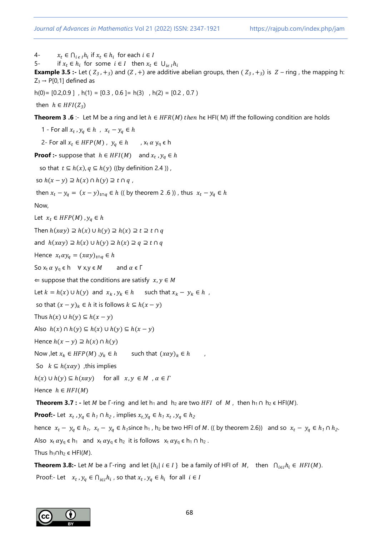4-  $x_t \in \bigcap_{i \in I} h_i$  if  $x_t \in h_i$  for each  $i \in I$ 

5- if  $x_t \in h_i$  for some  $i \in I$  then  $x_t \in \bigcup_{i \in I} h_i$ 

**Example 3.5 :-** Let  $(Z_3, +_3)$  and  $(Z_3, +)$  are additive abelian groups, then  $(Z_3, +_3)$  is  $Z$  – ring, the mapping h:  $Z_3 \rightarrow P[0,1]$  defined as

 $h(0) = [0.2, 0.9]$ ,  $h(1) = [0.3, 0.6] = h(3)$ ,  $h(2) = [0.2, 0.7]$ 

then  $h \in HFI(Z_3)$ 

**Theorem 3 .6** :- Let M be a ring and let  $h \in HFR(M)$  then he HFI( M) iff the following condition are holds

1 - For all  $x_t$ ,  $y_q \in h$ ,  $x_t - y_q \in h$ 2- For all  $x_t \in HFP(M)$ ,  $y_q \in h$ ,  $x_t \alpha y_q \in h$ **Proof :-** suppose that  $h \in HFI(M)$  and  $x_t$ ,  $y_q \in h$ so that  $t \subseteq h(x)$ ,  $q \subseteq h(y)$  ((by definition 2.4)), so  $h(x - y) \supseteq h(x) \cap h(y) \supseteq t \cap q$ , then  $x_t - y_q = (x - y)_{t \cap q} \in h$  (( by theorem 2 .6 )), thus  $x_t - y_q \in h$ Now, Let  $x_t \in HFP(M)$ ,  $y_q \in h$ Then  $h(xay) \supseteq h(x) \cup h(y) \supseteq h(x) \supseteq t \supseteq t \cap q$ and  $h(xay) \supseteq h(x) \cup h(y) \supseteq h(x) \supseteq q \supseteq t \cap q$ Hence  $x_t \alpha y_q = (x \alpha y)_{t \cap q} \in h$ So  $x_t \alpha y_q \in h \quad \forall x, y \in M$  and  $\alpha \in \Gamma$  $\Leftarrow$  suppose that the conditions are satisfy  $x, y \in M$ Let  $k = h(x) \cup h(y)$  and  $x_k, y_k \in h$  such that  $x_k - y_k \in h$ , so that  $(x - y)_k \in h$  it is follows  $k \subseteq h(x - y)$ Thus  $h(x) \cup h(y) \subseteq h(x - y)$ Also  $h(x) \cap h(y) \subseteq h(x) \cup h(y) \subseteq h(x - y)$ Hence  $h(x - y) \supseteq h(x) \cap h(y)$ Now , let  $x_k \in HFP(M)$  ,  $y_k \in h$  such that  $(x\alpha y)_k \in h$ So  $k \subseteq h(xay)$ , this implies  $h(x) \cup h(y) \subseteq h(x\alpha y)$  for all  $x, y \in M$ ,  $\alpha \in \Gamma$ Hence  $h \in HFI(M)$ **Theorem 3.7 :** - let *M* be Γ-ring and let  $h_1$  and  $h_2$  are two *HFI* of *M*, then  $h_1 \cap h_2 \in HF(M)$ . **Proof:**- Let  $x_t$ ,  $y_q \in h_1 \cap h_2$ , implies  $x_t$ ,  $y_q \in h_1$ ,  $x_t$ ,  $y_q \in h_2$ hence  $x_t - y_q \in h_1$ ,  $x_t - y_q \in h_1$  since  $h_1$ ,  $h_2$  be two HFI of M. ((by theorem 2.6)) and so  $x_t - y_q \in h_1 \cap h_2$ . Also  $x_t \alpha y_q \in h_1$  and  $x_t \alpha y_q \in h_2$  it is follows  $x_t \alpha y_q \in h_1 \cap h_2$ . Thus  $h_1 \cap h_2 \in HFI(M)$ . **Theorem 3.8:-** Let *M* be a  $\lceil \cdot \text{ring} \rceil$  and let  $\{h_i | i \in I\}$  be a family of HFI of  $M$ , then  $\bigcap_{i \in I} h_i \in HFI(M)$ . Proof:- Let  $x_t, y_q \in \bigcap_{i \in I} h_i$ , so that  $x_t, y_q \in h_i$  for all  $i \in I$ 

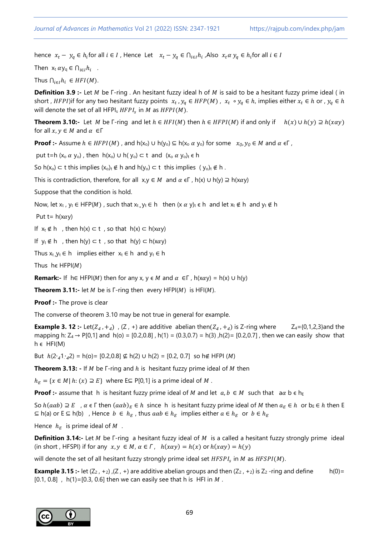hence  $x_t - y_q \in h_i$  for all  $i \in I$ , Hence Let  $x_t - y_q \in h_{i \in I}$ , Also  $x_t \alpha y_q \in h_i$  for all  $i \in I$ 

Then  $x_t \alpha y_q \in \bigcap_{i \in I} h_i$ .

Thus  $\bigcap_{i \in I} h_i \in HFI(M)$ .

**Definition 3.9 :-** Let *M* be *F-ring*. An hesitant fuzzy ideal h of *M* is said to be a hesitant fuzzy prime ideal (in short , HFPI)if for any two hesitant fuzzy points  $x_t$ ,  $y_q \in HFP(M)$ ,  $x_t \circ y_q \in h$ , implies either  $x_t \in h$  or,  $y_q \in h$ will denote the set of all HFPI<sub>s</sub>  $HFPI_{\mathcal{S}}$  in M as  $HFPI(M).$ 

**Theorem 3.10:-** Let *M* be Γ-ring and let  $h \in HFI(M)$  then  $h \in HFPI(M)$  if and only if  $h(x) \cup h(y) \supseteq h(xay)$ for all  $x, y \in M$  and  $\alpha \in \Gamma$ 

**Proof :-** Assume  $h \in HFPI(M)$ , and  $h(x_0) \cup h(y_0) \subseteq h(x_0 \alpha y_0)$  for some  $x_0, y_0 \in M$  and  $\alpha \in \Gamma$ ,

put t=h  $(x_0 \alpha y_0)$ , then  $h(x_0) \cup h(y_0) \subset t$  and  $(x_0 \alpha y_0)_t \in h$ 

So h(x<sub>o</sub>) ⊂ t this implies  $(x_0)_t \notin h$  and h(y<sub>o</sub>) ⊂ t this implies ( y<sub>o</sub>)<sub>t</sub> ∉ h.

This is contradiction, therefore, for all  $x,y \in M$  and  $\alpha \in \Gamma$ , h(x) ∪ h(y)  $\supseteq$  h(xay)

Suppose that the condition is hold.

Now, let  $x_t$ ,  $y_t \in HFP(M)$ , such that  $x_t, y_t \in h$  then  $(x \alpha y)_t \in h$  and let  $x_t \notin h$  and  $y_t \notin h$ 

Put t=  $h(x\alpha y)$ 

If  $x_t \notin h$ , then  $h(x) \subset t$ , so that  $h(x) \subset h(x \alpha y)$ 

If  $y_t \notin h$ , then  $h(y) \subset t$ , so that  $h(y) \subset h(x \alpha y)$ 

Thus  $x_t y_t \in h$  implies either  $x_t \in h$  and  $y_t \in h$ 

Thus he  $HFPI(M)$ 

**Remark:-** If h∈ HFPI(*M*) then for any x, y  $\in$  *M* and  $\alpha \in \Gamma$ , h(x $\alpha$ y) = h(x) ∪ h(y)

**Theorem 3.11:-** let  $M$  be is  $\Gamma$ -ring then every HFPI( $M$ ) is HFI( $M$ ).

**Proof :-** The prove is clear

The converse of theorem 3.10 may be not true in general for example.

**Example 3. 12** :- Let( $Z_4$ , +<sub>4</sub>), (Z, +) are additive abelian then( $Z_4$ , +<sub>4</sub>) is Z-ring where  $Z_4$ ={0,1,2,3}and the mapping h:  $Z_4 \rightarrow P[0,1]$  and  $h(o) = [0.2,0.8]$ ,  $h(1) = (0.3,0.7) = h(3)$ ,  $h(2) = [0.2,0.7]$ , then we can easily show that  $h \in HFI(M)$ 

But  $h(2,4,1,4,4) = h(0) = [0.2,0.8] \nsubseteq h(2) \cup h(2) = [0.2,0.7]$  so h∉ HFPI (*M*)

**Theorem 3.13:** - If *M* be *F*-ring and *h* is hesitant fuzzy prime ideal of *M* then

 $h_E = \{x \in M | h: (x) \supseteq E\}$  where  $E \subseteq P[0,1]$  is a prime ideal of M.

**Proof :-** assume that h is hesitant fuzzy prime ideal of M and let  $a, b \in M$  such that  $a\alpha b \in h_E$ 

So  $h(a\alpha b) \supseteq E$ ,  $\alpha \in \Gamma$  then  $(a\alpha b)_E \in h$  since h is hesitant fuzzy prime ideal of M then  $a_E \in h$  or  $b_E \in h$  then E  $\subseteq$  h(a) or E  $\subseteq$  h(b), Hence  $b \in h_E$ , thus  $a\alpha b \in h_E$  implies either  $a \in h_E$  or  $b \in h_E$ 

Hence  $h_E$  is prime ideal of  $M$ .

**Definition 3.14:-** Let *M* be *Γ*-ring a hesitant fuzzy ideal of *M* is a called a hesitant fuzzy strongly prime ideal (in short, HFSPI) if for any  $x, y \in M$ ,  $\alpha \in \Gamma$ ,  $h(x\alpha y) = h(x)$  or  $h(x\alpha y) = h(y)$ 

will denote the set of all hesitant fuzzy strongly prime ideal set  $HFSPI_s$  in  $M$  as  $HFSPI(M).$ 

**Example 3.15 :-** let  $(Z_2, +_2)$ ,  $(Z, +)$  are additive abelian groups and then  $(Z_2, +_2)$  is  $Z_2$ -ring and define h(0)=  $[0.1, 0.8]$ , h(1)= $[0.3, 0.6]$  then we can easily see that h is HFI in M.

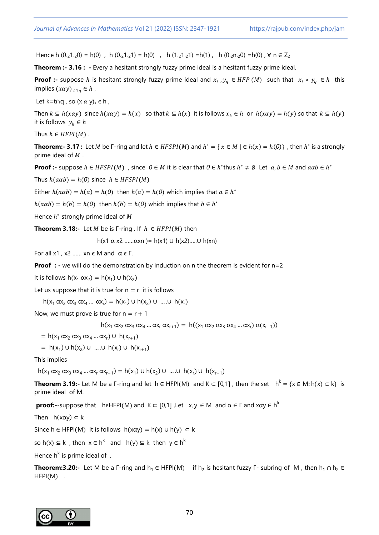Hence h  $(0.21.20) = h(0)$ , h  $(0.21.21) = h(0)$ , h  $(1.21.21) = h(1)$ , h  $(0.2n.20) = h(0)$ ,  $\forall n \in Z_2$ 

**Theorem :- 3.16 : -** Every a hesitant strongly fuzzy prime ideal is a hesitant fuzzy prime ideal.

**Proof :-** suppose *h* is hesitant strongly fuzzy prime ideal and  $x_t$ ,  $y_q \in HFP(M)$  such that  $x_t \circ y_q \in h$  this implies  $(xay)_{t \cap q} \in h$ ,

Let k=t∩q, so  $(x \alpha y)_k \in h$ ,

Then  $k \subseteq h(x\alpha y)$  since  $h(x\alpha y) = h(x)$  so that  $k \subseteq h(x)$  it is follows  $x_k \in h$  or  $h(x\alpha y) = h(y)$  so that  $k \subseteq h(y)$ it is follows  $y_k \in h$ 

Thus  $h \in HFPI(M)$ .

**Theorem:- 3.17 :** Let *M* be  $\Gamma$ -ring and let  $h \in HFSPI(M)$  and  $h^* = \{ x \in M \mid \Gamma(h(x)) = h(0) \}$ , then  $h^*$  is a strongly prime ideal of  $M$ .

**Proof :-** suppose  $h \in HFSPI(M)$ , since  $0 \in M$  it is clear that  $0 \in h^*$  thus  $h^* \neq \emptyset$  Let  $a, b \in M$  and  $a\alpha b \in h^*$ 

Thus  $h(a\alpha b) = h(0)$  since  $h \in HFSPI(M)$ 

Either  $h(a\alpha b) = h(a) = h(0)$  then  $h(a) = h(0)$  which implies that  $a \in h^*$ 

 $h(a\alpha b) = h(b) = h(0)$  then  $h(b) = h(0)$  which implies that  $b \in h^*$ 

Hence  $h^*$  strongly prime ideal of  $M$ 

**Theorem 3.18:-** Let *M* be is  $\Gamma$ -ring . If  $h \in HFPI(M)$  then

h(x1 α x2 ……αxn )= h(x1) ∪ h(x2)…..∪ h(xn)

For all x1, x2 ...... xn  $\epsilon$  M and  $\alpha \epsilon$  F.

**Proof :** - we will do the demonstration by induction on n the theorem is evident for n=2

It is follows  $h(x_1 \alpha x_2) = h(x_1) \cup h(x_2)$ 

Let us suppose that it is true for  $n = r$  it is follows

 $h(x_1 \alpha x_2 \alpha x_3 \alpha x_4 ... \alpha x_r) = h(x_1) \cup h(x_2) \cup ... \cup h(x_r)$ 

Now, we must prove is true for  $n = r + 1$ 

 $h(x_1 \alpha x_2 \alpha x_3 \alpha x_4 ... \alpha x_r \alpha x_{r+1}) = h((x_1 \alpha x_2 \alpha x_3 \alpha x_4 ... \alpha x_r) \alpha (x_{r+1}))$ 

 $= h(x_1 \alpha x_2 \alpha x_3 \alpha x_4 ... \alpha x_r)$  ∪  $h(x_{r+1})$ 

 $= h(x_1) \cup h(x_2) \cup ... \cup h(x_r) \cup h(x_{r+1})$ 

This implies

 $h(x_1 \alpha x_2 \alpha x_3 \alpha x_4 \dots \alpha x_r \alpha x_{r+1}) = h(x_1) \cup h(x_2) \cup \dots \cup h(x_r) \cup h(x_{r+1})$ 

**Theorem 3.19:-** Let M be a  $\Gamma$ -ring and let  $h \in HFPI(M)$  and  $K \subset [0,1]$ , then the set  $h^k = \{x \in M : h(x) \subset k\}$  is prime ideal of M.

**proof:-**-suppose that heHFPI(M) and  $K \subset [0,1]$  , Let  $x, y \in M$  and  $\alpha \in \Gamma$  and  $x\alpha y \in h^k$ 

Then  $h(x\alpha y) \subset k$ 

Since h ∈ HFPI(M) it is follows  $h(x\alpha y) = h(x) \cup h(y) \subset k$ 

so h(x)  $\subseteq$  k, then  $x \in h^k$  and  $h(y) \subseteq k$  then  $y \in h^k$ 

Hence  $h^k$  is prime ideal of.

**Theorem:3.20:-** Let M be a Γ-ring and h<sub>1</sub> ∈ HFPI(M) if h<sub>2</sub> is hesitant fuzzy Γ- subring of M, then h<sub>1</sub> ∩ h<sub>2</sub> ∈ HFPI(M) .

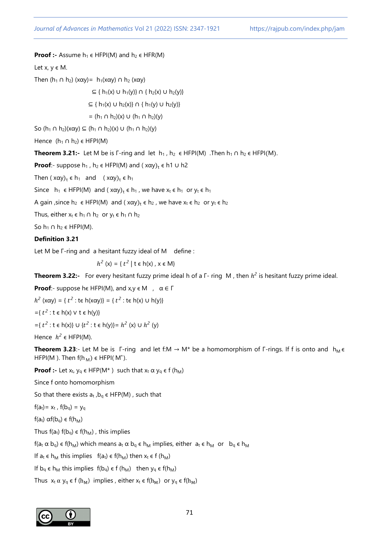### **Proof :-** Assume  $h_1 \in HFPI(M)$  and  $h_2 \in HFR(M)$

Let  $x, y \in M$ .

Then  $(h_1 \cap h_2)$  (xay) =  $h_1(xay) \cap h_2(xay)$ 

 $\subseteq$  { h<sub>1</sub>(x) ∪ h<sub>1</sub>(y)} ∩ { h<sub>2</sub>(x) ∪ h<sub>2</sub>(y)}

⊆ {  $h_1(x)$  ∪  $h_2(x)$ } ∩ {  $h_1(y)$  ∪  $h_2(y)$ }

=  $(h_1 \cap h_2)(x) \cup (h_1 \cap h_2)(y)$ 

So (h<sub>1</sub> ∩ h<sub>2</sub>)(xαy) ⊆ (h<sub>1</sub> ∩ h<sub>2</sub>)(x) ∪ (h<sub>1</sub> ∩ h<sub>2</sub>)(y)

Hence  $(h_1 \cap h_2) \in HFPI(M)$ 

**Theorem 3.21:-** Let M be is  $\Gamma$ -ring and let  $h_1$ ,  $h_2 \in HFPI(M)$  . Then  $h_1 \cap h_2 \in HFPI(M)$ .

**Proof**:- suppose  $h_1$ ,  $h_2 \in HFPI(M)$  and ( $x\alpha y$ )<sub>t</sub>  $\in h1 \cup h2$ 

Then  $(x\alpha y)_t \in h_1$  and  $(x\alpha y)_t \in h_1$ 

Since  $h_1 \in HFPI(M)$  and  $(x\alpha y)_t \in h_1$ , we have  $x_t \in h_1$  or  $y_t \in h_1$ 

A gain , since  $h_2 \in HFPI(M)$  and  $(x\alpha y)_t \in h_2$ , we have  $x_t \in h_2$  or  $y_t \in h_2$ 

Thus, either  $x_t \in h_1 \cap h_2$  or  $y_t \in h_1 \cap h_2$ 

So  $h_1 \cap h_2 \in HFPI(M)$ .

#### **Definition 3.21**

Let M be  $\Gamma$ -ring and a hesitant fuzzy ideal of M define :

 $h$  $2(x) = \{ t^2 | t \in h(x), x \in M \}$ 

**Theorem 3.22:-** For every hesitant fuzzy prime ideal h of a Γ- ring M, then  $h^2$  is hesitant fuzzy prime ideal.

**Proof**:- suppose he HFPI(M), and  $x, y \in M$ ,  $\alpha \in \Gamma$ 

 $h<sup>2</sup>$  (xαy) = {  $t<sup>2</sup>$  : t∈ h(xαy)} = {  $t<sup>2</sup>$  : t∈ h(x) ∪ h(y)}  $=\{ t^2 : t \in h(x) \lor t \in h(y) \}$  $=$ { $t^2$  : t  $\in$  h(x)} ∪ { $t^2$  : t  $\in$  h(y)}=  $h^2$  (x) ∪  $h^2$  (y)

Hence  $h^2 \in HFPI(M)$ .

**Theorem 3.23**:- Let M be is  $\Gamma$ -ring and let f:M  $\rightarrow$  M\* be a homomorphism of  $\Gamma$ -rings. If f is onto and  $h_M \in$ HFPI(M). Then  $f(h_M) \in HFPI(M^*)$ .

**Proof :-** Let  $x_t$ ,  $y_q \in HFP(M^*)$  such that  $x_t \propto y_q \in f(h_M)$ 

Since f onto homomorphism

So that there exists  $a_t$ ,  $b_\alpha \in HFP(M)$ , such that

 $f(a_t) = x_t$ ,  $f(b_q) = y_q$ 

f(a<sub>t</sub>)  $\alpha f(b_q) \in f(h_M)$ 

Thus  $f(a_t) f(b_q) \in f(h_M)$ , this implies

 $f(a_t \alpha b_q) \in f(h_M)$  which means  $a_t \alpha b_q \in h_M$  implies, either  $a_t \in h_M$  or  $b_q \in h_M$ 

If  $a_t \in h_M$  this implies  $f(a_t) \in f(h_M)$  then  $x_t \in f(h_M)$ 

If  $b_q \in h_M$  this implies  $f(b_q) \in f(h_M)$  then  $y_q \in f(h_M)$ 

Thus  $x_t \alpha y_q \in f(h_M)$  implies, either  $x_t \in f(h_M)$  or  $y_q \in f(h_M)$